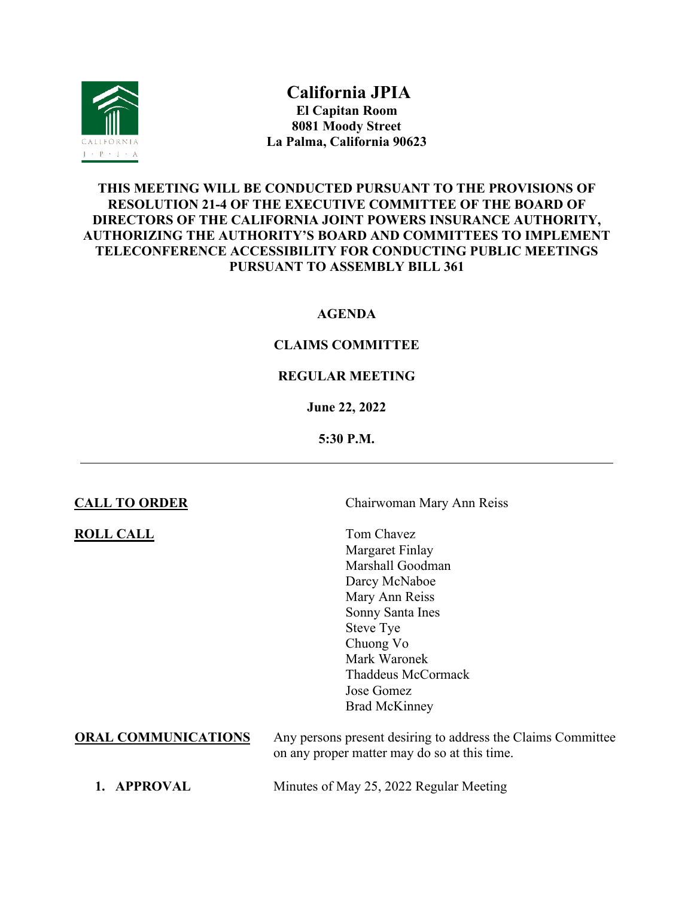

**California JPIA El Capitan Room 8081 Moody Street La Palma, California 90623** 

# **THIS MEETING WILL BE CONDUCTED PURSUANT TO THE PROVISIONS OF RESOLUTION 21-4 OF THE EXECUTIVE COMMITTEE OF THE BOARD OF DIRECTORS OF THE CALIFORNIA JOINT POWERS INSURANCE AUTHORITY, AUTHORIZING THE AUTHORITY'S BOARD AND COMMITTEES TO IMPLEMENT TELECONFERENCE ACCESSIBILITY FOR CONDUCTING PUBLIC MEETINGS PURSUANT TO ASSEMBLY BILL 361**

## **AGENDA**

# **CLAIMS COMMITTEE**

## **REGULAR MEETING**

### **June 22, 2022**

### **5:30 P.M.**

**ROLL CALL** Tom Chavez

**CALL TO ORDER** Chairwoman Mary Ann Reiss

Margaret Finlay Marshall Goodman Darcy McNaboe Mary Ann Reiss Sonny Santa Ines Steve Tye Chuong Vo Mark Waronek Thaddeus McCormack Jose Gomez Brad McKinney

**ORAL COMMUNICATIONS** Any persons present desiring to address the Claims Committee on any proper matter may do so at this time.

**1. APPROVAL** Minutes of May 25, 2022 Regular Meeting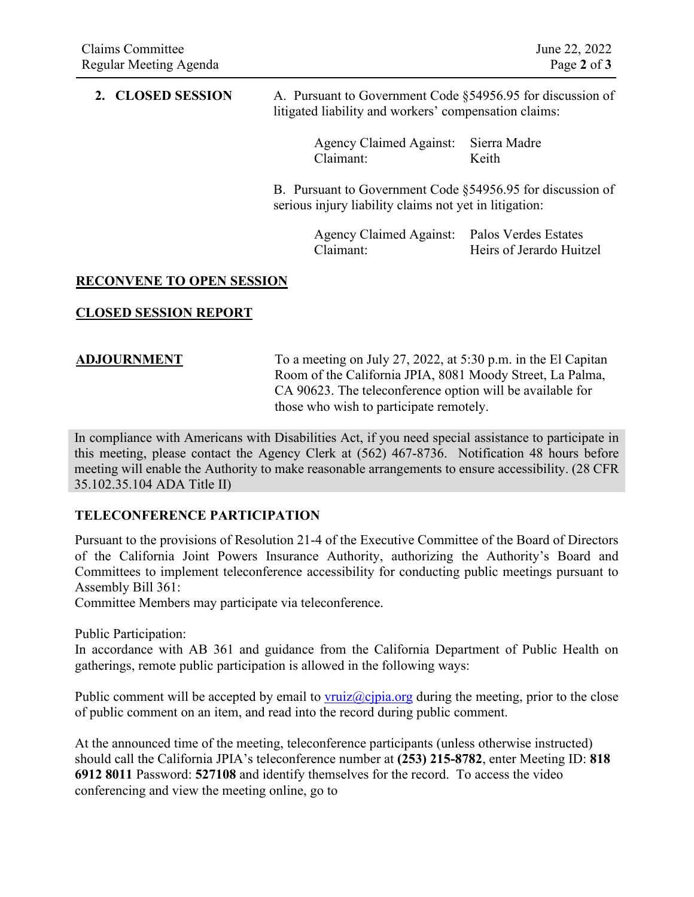## **2. CLOSED SESSION** A. Pursuant to Government Code §54956.95 for discussion of litigated liability and workers' compensation claims:

Agency Claimed Against: Sierra Madre Claimant: Keith

B. Pursuant to Government Code §54956.95 for discussion of serious injury liability claims not yet in litigation:

> Agency Claimed Against: Palos Verdes Estates Claimant: Heirs of Jerardo Huitzel

## **RECONVENE TO OPEN SESSION**

## **CLOSED SESSION REPORT**

**ADJOURNMENT** To a meeting on July 27, 2022, at 5:30 p.m. in the El Capitan Room of the California JPIA, 8081 Moody Street, La Palma, CA 90623. The teleconference option will be available for those who wish to participate remotely.

In compliance with Americans with Disabilities Act, if you need special assistance to participate in this meeting, please contact the Agency Clerk at (562) 467-8736. Notification 48 hours before meeting will enable the Authority to make reasonable arrangements to ensure accessibility. (28 CFR 35.102.35.104 ADA Title II)

## **TELECONFERENCE PARTICIPATION**

Pursuant to the provisions of Resolution 21-4 of the Executive Committee of the Board of Directors of the California Joint Powers Insurance Authority, authorizing the Authority's Board and Committees to implement teleconference accessibility for conducting public meetings pursuant to Assembly Bill 361:

Committee Members may participate via teleconference.

Public Participation:

In accordance with AB 361 and guidance from the California Department of Public Health on gatherings, remote public participation is allowed in the following ways:

Public comment will be accepted by email to [vruiz@cjpia.org](mailto:vruiz@cjpia.org) during the meeting, prior to the close of public comment on an item, and read into the record during public comment.

At the announced time of the meeting, teleconference participants (unless otherwise instructed) should call the California JPIA's teleconference number at **(253) 215-8782**, enter Meeting ID: **818 6912 8011** Password: **527108** and identify themselves for the record. To access the video conferencing and view the meeting online, go to